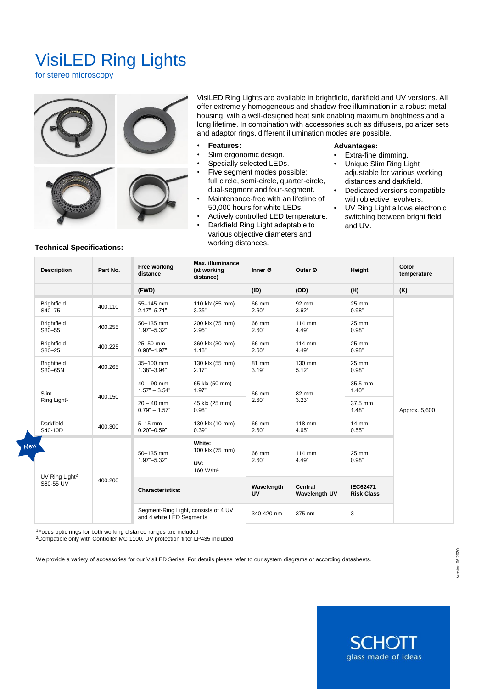# VisiLED Ring Lights

for stereo microscopy



VisiLED Ring Lights are available in brightfield, darkfield and UV versions. All offer extremely homogeneous and shadow-free illumination in a robust metal housing, with a well-designed heat sink enabling maximum brightness and a long lifetime. In combination with accessories such as diffusers, polarizer sets and adaptor rings, different illumination modes are possible.

- **Features:**
- Slim ergonomic design.
- Specially selected LEDs.
- Five segment modes possible: full circle, semi-circle, quarter-circle, dual-segment and four-segment.
- Maintenance-free with an lifetime of 50,000 hours for white LEDs.
- Actively controlled LED temperature.
- Darkfield Ring Light adaptable to
- various objective diameters and working distances.

#### **Advantages:**

- Extra-fine dimming.
- Unique Slim Ring Light adjustable for various working distances and darkfield.
- Dedicated versions compatible with objective revolvers.
- UV Ring Light allows electronic switching between bright field and UV.

| <b>Technical Specifications:</b> |  |
|----------------------------------|--|
|                                  |  |

|            | <b>Description</b>                                 | Part No. | Free working<br>distance                                         | Max. illuminance<br>(at working<br>distance) | Inner Ø          | Outer Ø                         | Height                               | Color<br>temperature |
|------------|----------------------------------------------------|----------|------------------------------------------------------------------|----------------------------------------------|------------------|---------------------------------|--------------------------------------|----------------------|
|            |                                                    |          | (FWD)                                                            |                                              | (ID)             | (OD)                            | (H)                                  | (K)                  |
|            | <b>Brightfield</b><br>S40-75                       | 400.110  | 55-145 mm<br>$2.17 - 5.71$ "                                     | 110 klx (85 mm)<br>3.35"                     | 66 mm<br>2.60"   | 92 mm<br>3.62"                  | 25 mm<br>0.98"                       | Approx. 5,600        |
|            | <b>Brightfield</b><br>S80-55                       | 400.255  | 50-135 mm<br>$1.97 - 5.32$ "                                     | 200 klx (75 mm)<br>2.95"                     | 66 mm<br>2.60"   | 114 mm<br>4.49"                 | 25 mm<br>0.98"                       |                      |
|            | <b>Brightfield</b><br>S80-25                       | 400.225  | 25-50 mm<br>$0.98 - 1.97$                                        | 360 klx (30 mm)<br>1.18"                     | 66 mm<br>2.60"   | 114 mm<br>4.49"                 | 25 mm<br>0.98"                       |                      |
|            | <b>Brightfield</b><br>S80-65N                      | 400.265  | 35-100 mm<br>$1.38 - 3.94$                                       | 130 klx (55 mm)<br>2.17"                     | 81 mm<br>3.19"   | 130 mm<br>5.12"                 | 25 mm<br>0.98"                       |                      |
|            | Slim<br>400.150<br>Ring Light <sup>1</sup>         |          | $40 - 90$ mm<br>$1.57" - 3.54"$                                  | 65 klx (50 mm)<br>1.97"                      | 66 mm<br>2.60"   | 82 mm<br>3.23"                  | 35,5 mm<br>1.40"                     |                      |
|            |                                                    |          | $20 - 40$ mm<br>$0.79^{\circ} - 1.57^{\circ}$                    | 45 klx (25 mm)<br>0.98"                      |                  |                                 | 37,5 mm<br>1.48"                     |                      |
|            | Darkfield<br>S40-10D                               | 400.300  | $5-15$ mm<br>$0.20 - 0.59$                                       | 130 klx (10 mm)<br>0.39"                     | 66 mm<br>2.60"   | 118 mm<br>4.65"                 | $14 \text{ mm}$<br>0.55"             |                      |
| <b>Jew</b> | UV Ring Light <sup>2</sup><br>400.200<br>S80-55 UV |          | 50-135 mm<br>$1.97 - 5.32$ "                                     | White:<br>100 klx (75 mm)                    | 66 mm<br>2.60"   | 114 mm<br>4.49"                 | 25 mm<br>0.98"                       |                      |
|            |                                                    |          |                                                                  | UV:<br>160 W/m <sup>2</sup>                  |                  |                                 |                                      |                      |
|            |                                                    |          | <b>Characteristics:</b>                                          |                                              | Wavelength<br>UV | Central<br><b>Wavelength UV</b> | <b>IEC62471</b><br><b>Risk Class</b> |                      |
|            |                                                    |          | Segment-Ring Light, consists of 4 UV<br>and 4 white LED Segments |                                              | 340-420 nm       | 375 nm                          | 3                                    |                      |

<sup>1</sup>Focus optic rings for both working distance ranges are included

<sup>2</sup>Compatible only with Controller MC 1100. UV protection filter LP435 included

We provide a variety of accessories for our VisiLED Series. For details please refer to our system diagrams or according datasheets.